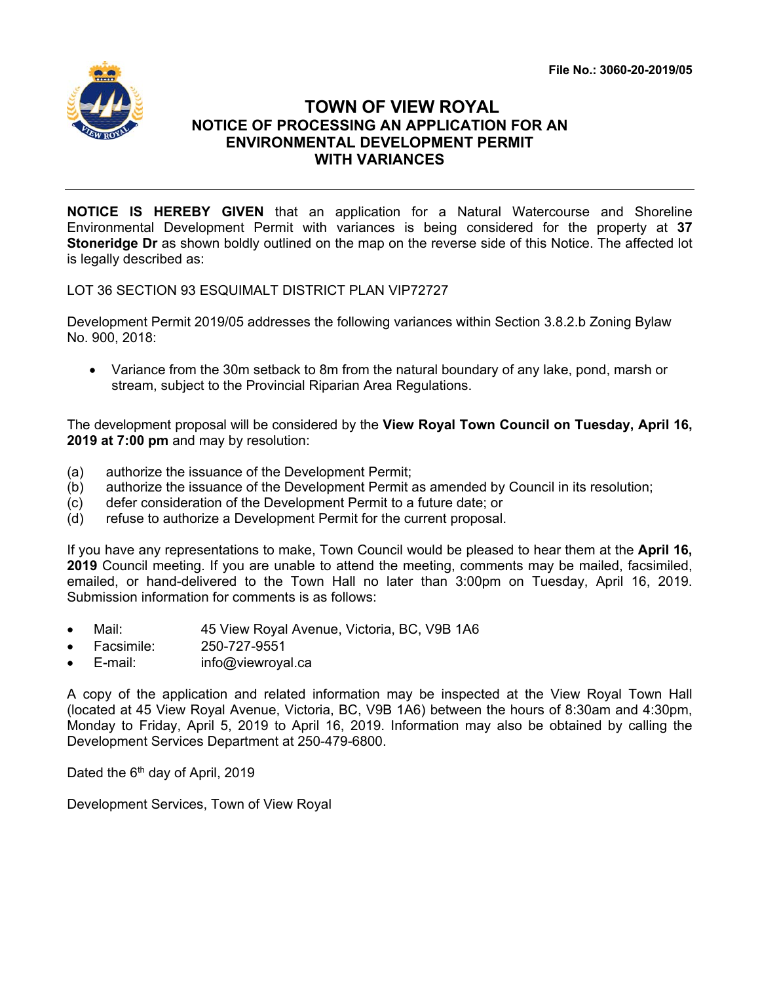**File No.: 3060-20-2019/05** 



## **TOWN OF VIEW ROYAL NOTICE OF PROCESSING AN APPLICATION FOR AN ENVIRONMENTAL DEVELOPMENT PERMIT WITH VARIANCES**

**NOTICE IS HEREBY GIVEN** that an application for a Natural Watercourse and Shoreline Environmental Development Permit with variances is being considered for the property at **37 Stoneridge Dr** as shown boldly outlined on the map on the reverse side of this Notice. The affected lot is legally described as:

LOT 36 SECTION 93 ESQUIMALT DISTRICT PLAN VIP72727

Development Permit 2019/05 addresses the following variances within Section 3.8.2.b Zoning Bylaw No. 900, 2018:

 Variance from the 30m setback to 8m from the natural boundary of any lake, pond, marsh or stream, subject to the Provincial Riparian Area Regulations.

The development proposal will be considered by the **View Royal Town Council on Tuesday, April 16, 2019 at 7:00 pm** and may by resolution:

- (a) authorize the issuance of the Development Permit;
- (b) authorize the issuance of the Development Permit as amended by Council in its resolution;
- (c) defer consideration of the Development Permit to a future date; or
- (d) refuse to authorize a Development Permit for the current proposal.

If you have any representations to make, Town Council would be pleased to hear them at the **April 16, 2019** Council meeting. If you are unable to attend the meeting, comments may be mailed, facsimiled, emailed, or hand-delivered to the Town Hall no later than 3:00pm on Tuesday, April 16, 2019. Submission information for comments is as follows:

- Mail: 45 View Royal Avenue, Victoria, BC, V9B 1A6
- Facsimile: 250-727-9551
- E-mail: info@viewroyal.ca

A copy of the application and related information may be inspected at the View Royal Town Hall (located at 45 View Royal Avenue, Victoria, BC, V9B 1A6) between the hours of 8:30am and 4:30pm, Monday to Friday, April 5, 2019 to April 16, 2019. Information may also be obtained by calling the Development Services Department at 250-479-6800.

Dated the 6<sup>th</sup> day of April, 2019

Development Services, Town of View Royal